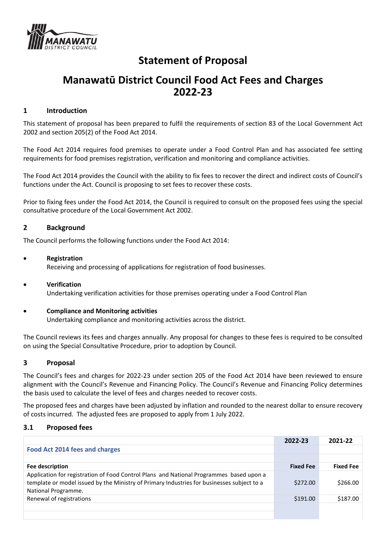

# **Statement of Proposal**

## **Manawatū District Council Food Act Fees and Charges 2022-23**

#### **1 Introduction**

This statement of proposal has been prepared to fulfil the requirements of section 83 of the Local Government Act 2002 and section 205(2) of the Food Act 2014.

The Food Act 2014 requires food premises to operate under a Food Control Plan and has associated fee setting requirements for food premises registration, verification and monitoring and compliance activities.

The Food Act 2014 provides the Council with the ability to fix fees to recover the direct and indirect costs of Council's functions under the Act. Council is proposing to set fees to recover these costs.

Prior to fixing fees under the Food Act 2014, the Council is required to consult on the proposed fees using the special consultative procedure of the Local Government Act 2002.

#### **2 Background**

The Council performs the following functions under the Food Act 2014:

#### • **Registration**

Receiving and processing of applications for registration of food businesses.

#### • **Verification**

Undertaking verification activities for those premises operating under a Food Control Plan

#### • **Compliance and Monitoring activities**

Undertaking compliance and monitoring activities across the district.

The Council reviews its fees and charges annually. Any proposal for changes to these fees is required to be consulted on using the Special Consultative Procedure, prior to adoption by Council.

#### **3 Proposal**

The Council's fees and charges for 2022-23 under section 205 of the Food Act 2014 have been reviewed to ensure alignment with the Council's Revenue and Financing Policy. The Council's Revenue and Financing Policy determines the basis used to calculate the level of fees and charges needed to recover costs.

The proposed fees and charges have been adjusted by inflation and rounded to the nearest dollar to ensure recovery of costs incurred. The adjusted fees are proposed to apply from 1 July 2022.

#### **3.1 Proposed fees**

|                                                                                                                                                                                                              | 2022-23          | 2021-22          |
|--------------------------------------------------------------------------------------------------------------------------------------------------------------------------------------------------------------|------------------|------------------|
| <b>Food Act 2014 fees and charges</b>                                                                                                                                                                        |                  |                  |
|                                                                                                                                                                                                              |                  |                  |
| Fee description                                                                                                                                                                                              | <b>Fixed Fee</b> | <b>Fixed Fee</b> |
| Application for registration of Food Control Plans and National Programmes based upon a<br>template or model issued by the Ministry of Primary Industries for businesses subject to a<br>National Programme. | \$272.00         | \$266.00         |
| Renewal of registrations                                                                                                                                                                                     | \$191.00         | \$187.00         |
|                                                                                                                                                                                                              |                  |                  |